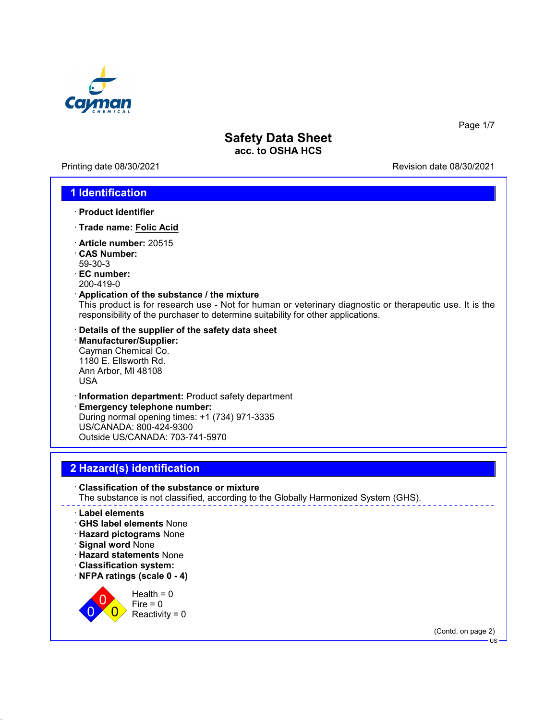

Printing date 08/30/2021 Revision date 08/30/2021

Page 1/7

### **1 Identification**

- · **Product identifier**
- · **Trade name: Folic Acid**
- · **Article number:** 20515
- · **CAS Number:** 59-30-3
- · **EC number:**
- 200-419-0

#### · **Application of the substance / the mixture**

This product is for research use - Not for human or veterinary diagnostic or therapeutic use. It is the responsibility of the purchaser to determine suitability for other applications.

- · **Details of the supplier of the safety data sheet**
- · **Manufacturer/Supplier:** Cayman Chemical Co. 1180 E. Ellsworth Rd. Ann Arbor, MI 48108 USA
- · **Information department:** Product safety department

· **Emergency telephone number:** During normal opening times: +1 (734) 971-3335 US/CANADA: 800-424-9300 Outside US/CANADA: 703-741-5970

## **2 Hazard(s) identification**

· **Classification of the substance or mixture** The substance is not classified, according to the Globally Harmonized System (GHS).

#### · **Label elements**

- · **GHS label elements** None
- · **Hazard pictograms** None
- · **Signal word** None

 $\overline{0}$ 0

- · **Hazard statements** None
- · **Classification system:**
- · **NFPA ratings (scale 0 4)**

 $\overline{\mathbf{0}}$  $Health = 0$  $Fire = 0$  $Reactivity = 0$ 

(Contd. on page 2)

US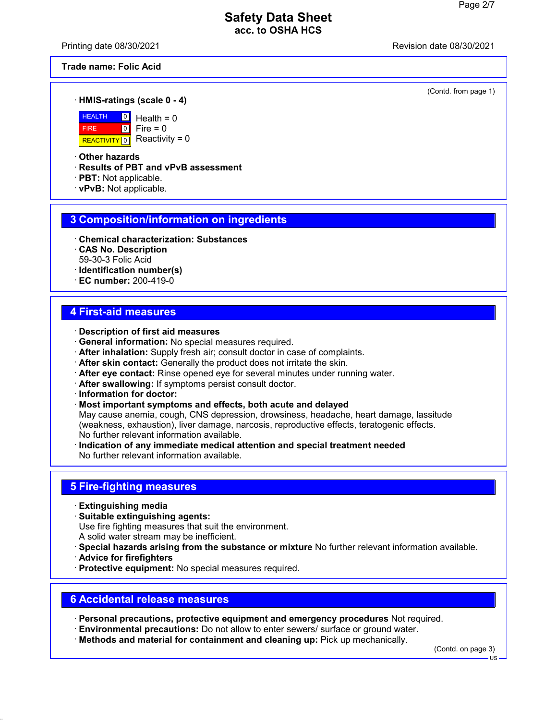Printing date 08/30/2021 Revision date 08/30/2021

**Trade name: Folic Acid**

(Contd. from page 1)

#### · **HMIS-ratings (scale 0 - 4)**



 $\boxed{0}$  $\boxed{0}$  $Health = 0$  $Fire = 0$ Reactivity =  $0$ 

· **Other hazards**

· **Results of PBT and vPvB assessment**

- · **PBT:** Not applicable.
- · **vPvB:** Not applicable.

### **3 Composition/information on ingredients**

- · **Chemical characterization: Substances**
- · **CAS No. Description** 59-30-3 Folic Acid
- · **Identification number(s)**
- · **EC number:** 200-419-0

### **4 First-aid measures**

- · **Description of first aid measures**
- · **General information:** No special measures required.
- · **After inhalation:** Supply fresh air; consult doctor in case of complaints.
- · **After skin contact:** Generally the product does not irritate the skin.
- · **After eye contact:** Rinse opened eye for several minutes under running water.
- · **After swallowing:** If symptoms persist consult doctor.
- · **Information for doctor:**
- · **Most important symptoms and effects, both acute and delayed**

May cause anemia, cough, CNS depression, drowsiness, headache, heart damage, lassitude (weakness, exhaustion), liver damage, narcosis, reproductive effects, teratogenic effects. No further relevant information available.

· **Indication of any immediate medical attention and special treatment needed** No further relevant information available.

#### **5 Fire-fighting measures**

- · **Extinguishing media**
- · **Suitable extinguishing agents:**

Use fire fighting measures that suit the environment.

- A solid water stream may be inefficient.
- · **Special hazards arising from the substance or mixture** No further relevant information available.
- · **Advice for firefighters**
- · **Protective equipment:** No special measures required.

## **6 Accidental release measures**

· **Personal precautions, protective equipment and emergency procedures** Not required.

- · **Environmental precautions:** Do not allow to enter sewers/ surface or ground water.
- · **Methods and material for containment and cleaning up:** Pick up mechanically.

(Contd. on page 3)

US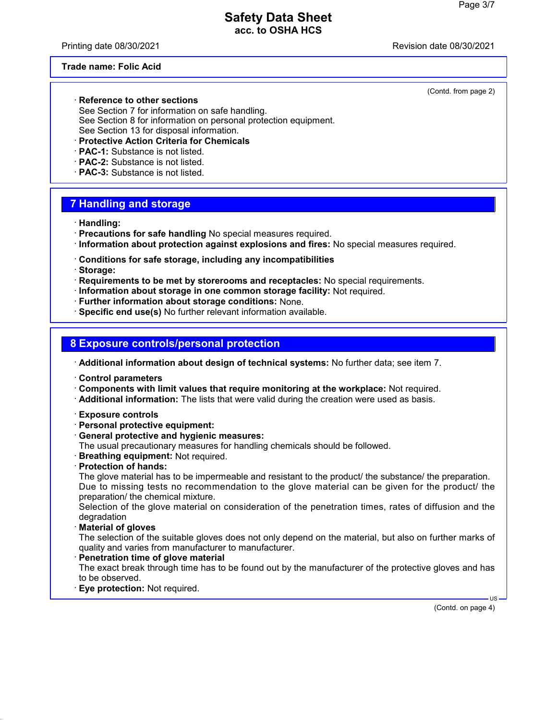Printing date 08/30/2021 **Printing date 08/30/2021** 

(Contd. from page 2)

#### **Trade name: Folic Acid**

· **Reference to other sections** See Section 7 for information on safe handling. See Section 8 for information on personal protection equipment. See Section 13 for disposal information.

- · **Protective Action Criteria for Chemicals**
- · **PAC-1:** Substance is not listed.
- · **PAC-2:** Substance is not listed.
- · **PAC-3:** Substance is not listed.

## **7 Handling and storage**

- · **Handling:**
- · **Precautions for safe handling** No special measures required.
- · **Information about protection against explosions and fires:** No special measures required.
- · **Conditions for safe storage, including any incompatibilities**
- · **Storage:**
- · **Requirements to be met by storerooms and receptacles:** No special requirements.
- · **Information about storage in one common storage facility:** Not required.
- · **Further information about storage conditions:** None.
- · **Specific end use(s)** No further relevant information available.

### **8 Exposure controls/personal protection**

- · **Additional information about design of technical systems:** No further data; see item 7.
- · **Control parameters**
- · **Components with limit values that require monitoring at the workplace:** Not required.
- · **Additional information:** The lists that were valid during the creation were used as basis.
- · **Exposure controls**
- · **Personal protective equipment:**
- · **General protective and hygienic measures:**
- The usual precautionary measures for handling chemicals should be followed.
- · **Breathing equipment:** Not required.
- · **Protection of hands:**

The glove material has to be impermeable and resistant to the product/ the substance/ the preparation. Due to missing tests no recommendation to the glove material can be given for the product/ the preparation/ the chemical mixture.

Selection of the glove material on consideration of the penetration times, rates of diffusion and the degradation

· **Material of gloves**

The selection of the suitable gloves does not only depend on the material, but also on further marks of quality and varies from manufacturer to manufacturer.

- · **Penetration time of glove material** The exact break through time has to be found out by the manufacturer of the protective gloves and has to be observed.
- **Eye protection: Not required.**

(Contd. on page 4)

US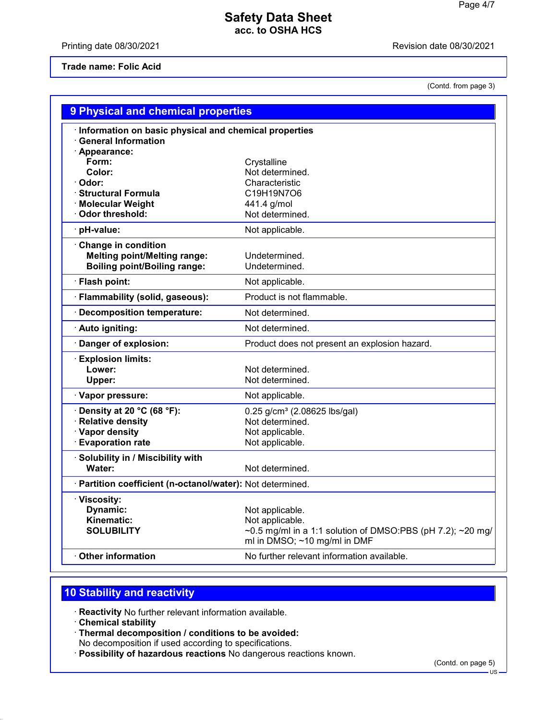Printing date 08/30/2021 **Printing date 08/30/2021** 

#### **Trade name: Folic Acid**

(Contd. from page 3)

| 9 Physical and chemical properties                                                                       |                                                                                                                                  |  |
|----------------------------------------------------------------------------------------------------------|----------------------------------------------------------------------------------------------------------------------------------|--|
| Information on basic physical and chemical properties<br><b>General Information</b>                      |                                                                                                                                  |  |
| · Appearance:<br>Form:<br>Color:<br>Odor:<br><b>Structural Formula</b>                                   | Crystalline<br>Not determined.<br>Characteristic<br>C19H19N7O6                                                                   |  |
| <b>Molecular Weight</b><br>Odor threshold:                                                               | 441.4 g/mol<br>Not determined.                                                                                                   |  |
| pH-value:                                                                                                | Not applicable.                                                                                                                  |  |
| <b>Change in condition</b><br><b>Melting point/Melting range:</b><br><b>Boiling point/Boiling range:</b> | Undetermined.<br>Undetermined.                                                                                                   |  |
| · Flash point:                                                                                           | Not applicable.                                                                                                                  |  |
| Flammability (solid, gaseous):                                                                           | Product is not flammable.                                                                                                        |  |
| <b>Decomposition temperature:</b>                                                                        | Not determined.                                                                                                                  |  |
| · Auto igniting:                                                                                         | Not determined.                                                                                                                  |  |
| Danger of explosion:                                                                                     | Product does not present an explosion hazard.                                                                                    |  |
| <b>Explosion limits:</b><br>Lower:<br>Upper:                                                             | Not determined.<br>Not determined.                                                                                               |  |
| · Vapor pressure:                                                                                        | Not applicable.                                                                                                                  |  |
| Density at 20 °C (68 °F):<br><b>Relative density</b><br>· Vapor density<br><b>Evaporation rate</b>       | 0.25 g/cm <sup>3</sup> (2.08625 lbs/gal)<br>Not determined.<br>Not applicable.<br>Not applicable.                                |  |
| Solubility in / Miscibility with<br>Water:                                                               | Not determined.                                                                                                                  |  |
| · Partition coefficient (n-octanol/water): Not determined.                                               |                                                                                                                                  |  |
| · Viscosity:<br>Dynamic:<br>Kinematic:<br><b>SOLUBILITY</b>                                              | Not applicable.<br>Not applicable.<br>~0.5 mg/ml in a 1:1 solution of DMSO:PBS (pH 7.2); ~20 mg/<br>ml in DMSO; ~10 mg/ml in DMF |  |
| <b>Other information</b>                                                                                 | No further relevant information available.                                                                                       |  |
|                                                                                                          |                                                                                                                                  |  |

# **10 Stability and reactivity**

· **Reactivity** No further relevant information available.

- · **Chemical stability**
- · **Thermal decomposition / conditions to be avoided:**

No decomposition if used according to specifications.

· **Possibility of hazardous reactions** No dangerous reactions known.

(Contd. on page 5)

US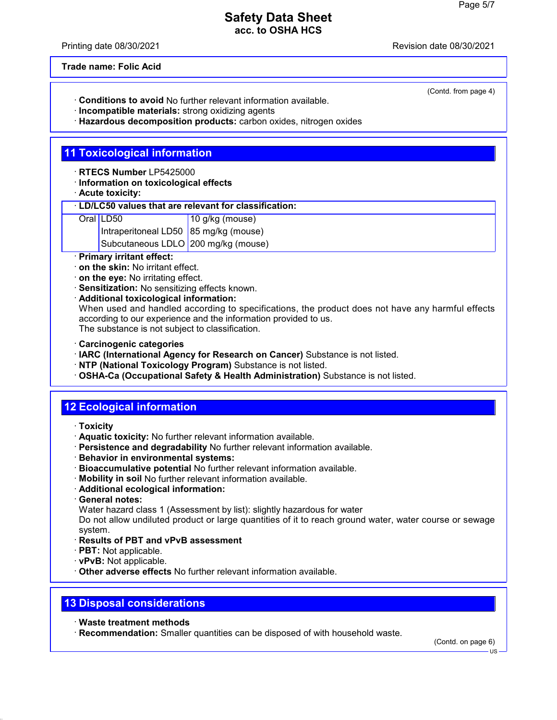Printing date 08/30/2021 Revision date 08/30/2021

(Contd. from page 4)

**Trade name: Folic Acid**

- · **Conditions to avoid** No further relevant information available.
- · **Incompatible materials:** strong oxidizing agents
- · **Hazardous decomposition products:** carbon oxides, nitrogen oxides

## **11 Toxicological information**

- · **RTECS Number** LP5425000
- · **Information on toxicological effects**
- · **Acute toxicity:**

#### · **LD/LC50 values that are relevant for classification:**

- Oral LD50 10 g/kg (mouse)
	- Intraperitoneal LD50 85 mg/kg (mouse)
		- Subcutaneous LDLO 200 mg/kg (mouse)
- · **Primary irritant effect:**
- · **on the skin:** No irritant effect.
- · **on the eye:** No irritating effect.
- · **Sensitization:** No sensitizing effects known.
- · **Additional toxicological information:**

When used and handled according to specifications, the product does not have any harmful effects according to our experience and the information provided to us. The substance is not subject to classification.

- · **Carcinogenic categories**
- · **IARC (International Agency for Research on Cancer)** Substance is not listed.
- · **NTP (National Toxicology Program)** Substance is not listed.
- · **OSHA-Ca (Occupational Safety & Health Administration)** Substance is not listed.

# **12 Ecological information**

- · **Toxicity**
- · **Aquatic toxicity:** No further relevant information available.
- · **Persistence and degradability** No further relevant information available.
- · **Behavior in environmental systems:**
- · **Bioaccumulative potential** No further relevant information available.
- · **Mobility in soil** No further relevant information available.
- · **Additional ecological information:**
- · **General notes:**
- Water hazard class 1 (Assessment by list): slightly hazardous for water

Do not allow undiluted product or large quantities of it to reach ground water, water course or sewage system.

- · **Results of PBT and vPvB assessment**
- · **PBT:** Not applicable.
- · **vPvB:** Not applicable.
- · **Other adverse effects** No further relevant information available.

### **13 Disposal considerations**

- · **Waste treatment methods**
- · **Recommendation:** Smaller quantities can be disposed of with household waste.

(Contd. on page 6)

US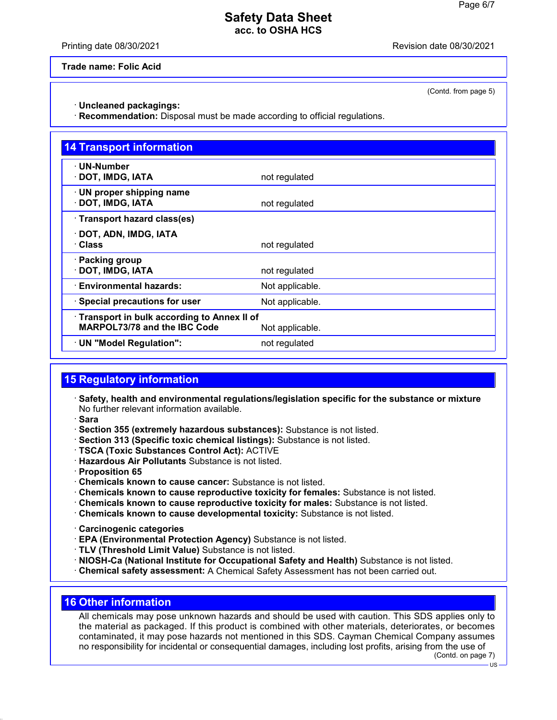Printing date 08/30/2021 Revision date 08/30/2021

(Contd. from page 5)

**Trade name: Folic Acid**

· **Uncleaned packagings:**

· **Recommendation:** Disposal must be made according to official regulations.

| <b>14 Transport information</b>                                                   |                 |  |
|-----------------------------------------------------------------------------------|-----------------|--|
| $\cdot$ UN-Number<br>· DOT, IMDG, IATA                                            | not regulated   |  |
| · UN proper shipping name<br>· DOT, IMDG, IATA                                    | not regulated   |  |
| · Transport hazard class(es)                                                      |                 |  |
| · DOT, ADN, IMDG, IATA<br>· Class                                                 | not regulated   |  |
| · Packing group<br>· DOT, IMDG, IATA                                              | not regulated   |  |
| <b>Environmental hazards:</b>                                                     | Not applicable. |  |
| · Special precautions for user                                                    | Not applicable. |  |
| Transport in bulk according to Annex II of<br><b>MARPOL73/78 and the IBC Code</b> | Not applicable. |  |
| · UN "Model Regulation":                                                          | not regulated   |  |

### **15 Regulatory information**

- · **Safety, health and environmental regulations/legislation specific for the substance or mixture** No further relevant information available.
- · **Sara**
- · **Section 355 (extremely hazardous substances):** Substance is not listed.
- · **Section 313 (Specific toxic chemical listings):** Substance is not listed.
- · **TSCA (Toxic Substances Control Act):** ACTIVE
- · **Hazardous Air Pollutants** Substance is not listed.
- · **Proposition 65**
- · **Chemicals known to cause cancer:** Substance is not listed.
- · **Chemicals known to cause reproductive toxicity for females:** Substance is not listed.
- · **Chemicals known to cause reproductive toxicity for males:** Substance is not listed.
- · **Chemicals known to cause developmental toxicity:** Substance is not listed.
- · **Carcinogenic categories**
- · **EPA (Environmental Protection Agency)** Substance is not listed.
- · **TLV (Threshold Limit Value)** Substance is not listed.
- · **NIOSH-Ca (National Institute for Occupational Safety and Health)** Substance is not listed.
- · **Chemical safety assessment:** A Chemical Safety Assessment has not been carried out.

### **16 Other information**

All chemicals may pose unknown hazards and should be used with caution. This SDS applies only to the material as packaged. If this product is combined with other materials, deteriorates, or becomes contaminated, it may pose hazards not mentioned in this SDS. Cayman Chemical Company assumes no responsibility for incidental or consequential damages, including lost profits, arising from the use of

(Contd. on page 7)